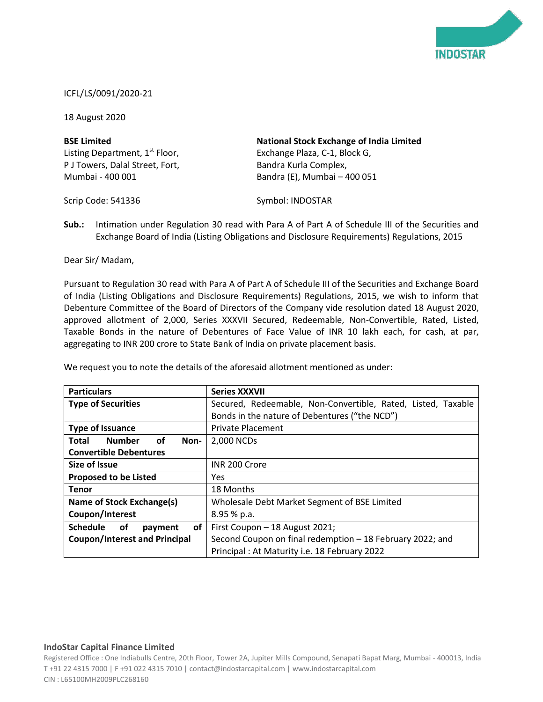

## ICFL/LS/0091/2020-21

18 August 2020

| <b>BSE Limited</b>                         | <b>National Stock Exchange of India Limited</b> |
|--------------------------------------------|-------------------------------------------------|
| Listing Department, 1 <sup>st</sup> Floor, | Exchange Plaza, C-1, Block G,                   |
| P J Towers, Dalal Street, Fort,            | Bandra Kurla Complex,                           |
| Mumbai - 400 001                           | Bandra (E), Mumbai - 400 051                    |

Scrip Code: 541336

Symbol: INDOSTAR

**Sub.:** Intimation under Regulation 30 read with Para A of Part A of Schedule III of the Securities and Exchange Board of India (Listing Obligations and Disclosure Requirements) Regulations, 2015

Dear Sir/ Madam,

Pursuant to Regulation 30 read with Para A of Part A of Schedule III of the Securities and Exchange Board of India (Listing Obligations and Disclosure Requirements) Regulations, 2015, we wish to inform that Debenture Committee of the Board of Directors of the Company vide resolution dated 18 August 2020, approved allotment of 2,000, Series XXXVII Secured, Redeemable, Non-Convertible, Rated, Listed, Taxable Bonds in the nature of Debentures of Face Value of INR 10 lakh each, for cash, at par, aggregating to INR 200 crore to State Bank of India on private placement basis.

| <b>Particulars</b>                                   | <b>Series XXXVII</b>                                         |
|------------------------------------------------------|--------------------------------------------------------------|
| <b>Type of Securities</b>                            | Secured, Redeemable, Non-Convertible, Rated, Listed, Taxable |
|                                                      | Bonds in the nature of Debentures ("the NCD")                |
| <b>Type of Issuance</b>                              | <b>Private Placement</b>                                     |
| <b>Number</b><br>οf<br><b>Total</b><br>Non-          | 2,000 NCDs                                                   |
| <b>Convertible Debentures</b>                        |                                                              |
| <b>Size of Issue</b>                                 | INR 200 Crore                                                |
| <b>Proposed to be Listed</b>                         | Yes                                                          |
| <b>Tenor</b>                                         | 18 Months                                                    |
| Name of Stock Exchange(s)                            | Wholesale Debt Market Segment of BSE Limited                 |
| Coupon/Interest                                      | $8.95%$ p.a.                                                 |
| <b>Schedule</b><br><b>of</b><br><b>of</b><br>payment | First Coupon - 18 August 2021;                               |
| <b>Coupon/Interest and Principal</b>                 | Second Coupon on final redemption - 18 February 2022; and    |
|                                                      | Principal: At Maturity i.e. 18 February 2022                 |

We request you to note the details of the aforesaid allotment mentioned as under:

## **IndoStar Capital Finance Limited**

Registered Office : One Indiabulls Centre, 20th Floor, Tower 2A, Jupiter Mills Compound, Senapati Bapat Marg, Mumbai - 400013, India T +91 22 4315 7000 | F +91 022 4315 7010 | contact@indostarcapital.com | www.indostarcapital.com CIN : L65100MH2009PLC268160